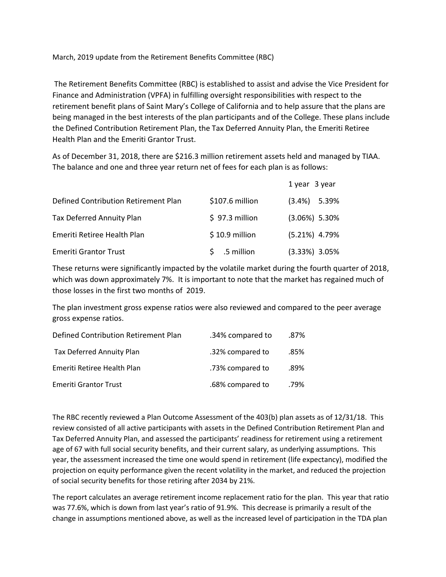March, 2019 update from the Retirement Benefits Committee (RBC)

The Retirement Benefits Committee (RBC) is established to assist and advise the Vice President for Finance and Administration (VPFA) in fulfilling oversight responsibilities with respect to the retirement benefit plans of Saint Mary's College of California and to help assure that the plans are being managed in the best interests of the plan participants and of the College. These plans include the Defined Contribution Retirement Plan, the Tax Deferred Annuity Plan, the Emeriti Retiree Health Plan and the Emeriti Grantor Trust.

As of December 31, 2018, there are \$216.3 million retirement assets held and managed by TIAA. The balance and one and three year return net of fees for each plan is as follows:

|                                      |                  | 1 year 3 year    |
|--------------------------------------|------------------|------------------|
| Defined Contribution Retirement Plan | $$107.6$ million | $(3.4\%)$ 5.39%  |
| Tax Deferred Annuity Plan            | $$97.3$ million  | $(3.06\%)$ 5.30% |
| Emeriti Retiree Health Plan          | $$10.9$ million  | $(5.21\%)$ 4.79% |
| <b>Emeriti Grantor Trust</b>         | .5 million       | $(3.33%)$ 3.05%  |

These returns were significantly impacted by the volatile market during the fourth quarter of 2018, which was down approximately 7%. It is important to note that the market has regained much of those losses in the first two months of 2019.

The plan investment gross expense ratios were also reviewed and compared to the peer average gross expense ratios.

| Defined Contribution Retirement Plan | .34% compared to | .87% |
|--------------------------------------|------------------|------|
| <b>Tax Deferred Annuity Plan</b>     | .32% compared to | .85% |
| Emeriti Retiree Health Plan          | .73% compared to | .89% |
| <b>Emeriti Grantor Trust</b>         | .68% compared to | .79% |

The RBC recently reviewed a Plan Outcome Assessment of the 403(b) plan assets as of 12/31/18. This review consisted of all active participants with assets in the Defined Contribution Retirement Plan and Tax Deferred Annuity Plan, and assessed the participants' readiness for retirement using a retirement age of 67 with full social security benefits, and their current salary, as underlying assumptions. This year, the assessment increased the time one would spend in retirement (life expectancy), modified the projection on equity performance given the recent volatility in the market, and reduced the projection of social security benefits for those retiring after 2034 by 21%.

The report calculates an average retirement income replacement ratio for the plan. This year that ratio was 77.6%, which is down from last year's ratio of 91.9%. This decrease is primarily a result of the change in assumptions mentioned above, as well as the increased level of participation in the TDA plan